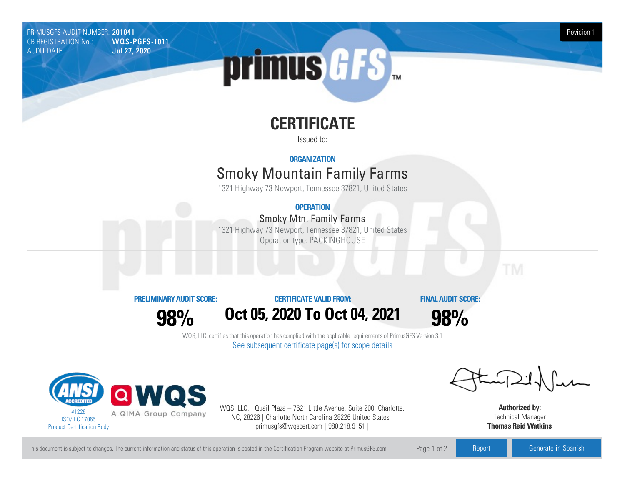PRIMUSGFS AUDIT NUMBER: 201041 Revision 1<br>CB REGISTRATION No.: WOLS-PGFS-1011 Revision 1 CB REGISTRATION No.:<br>AUDIT DATE: **Jul 27, 2020** 

# primus GFS

## **CERTIFICATE**

Issued to:

#### **ORGANIZATION**

### **Smoky Mountain Family Farms**

1321 Highway 73 Newport, Tennessee 37821, United States

#### **OPERATION**

#### Smoky Mtn.Family Farms

1321 Highway 73 Newport, Tennessee 37821, United States Operation type: PACKINGHOUSE



**98%**

#### **CERTIFICATE VALIDFROM:**

**Oct05, 2020 To Oct04, 2021**

**FINAL AUDIT SCORE:**

**98%**

WQS, LLC. certifies that this operation has complied with the applicable requirements of PrimusGFS Version 3.1 See subsequent certificate page(s) for scope details



WQS, LLC. | Quail Plaza – 7621 Little Avenue, Suite 200, Charlotte, NC, 28226 | Charlotte North Carolina 28226 United States | primusgfs@wqscert.com | 980.218.9151 |

**Authorized by:** Technical Manager **Thomas ReidWatkins**

This document is subject to changes. The current information and status of this operation is posted in the Certification Program website at PrimusGFS.com Page 1 of 2 [Report](https://secure.azzule.com/PGFSDocuments/PGFS_AuditReport201041_6654_1_EN.pdf) [Generate](https://secure.azzule.com/PrimusGFSAudits/pdfGenerator.aspx?AuditHeaderID=86133227212864202074211210458057675491888&AppId=58076001884&LanguageID=1&UserId=1) in Spanish